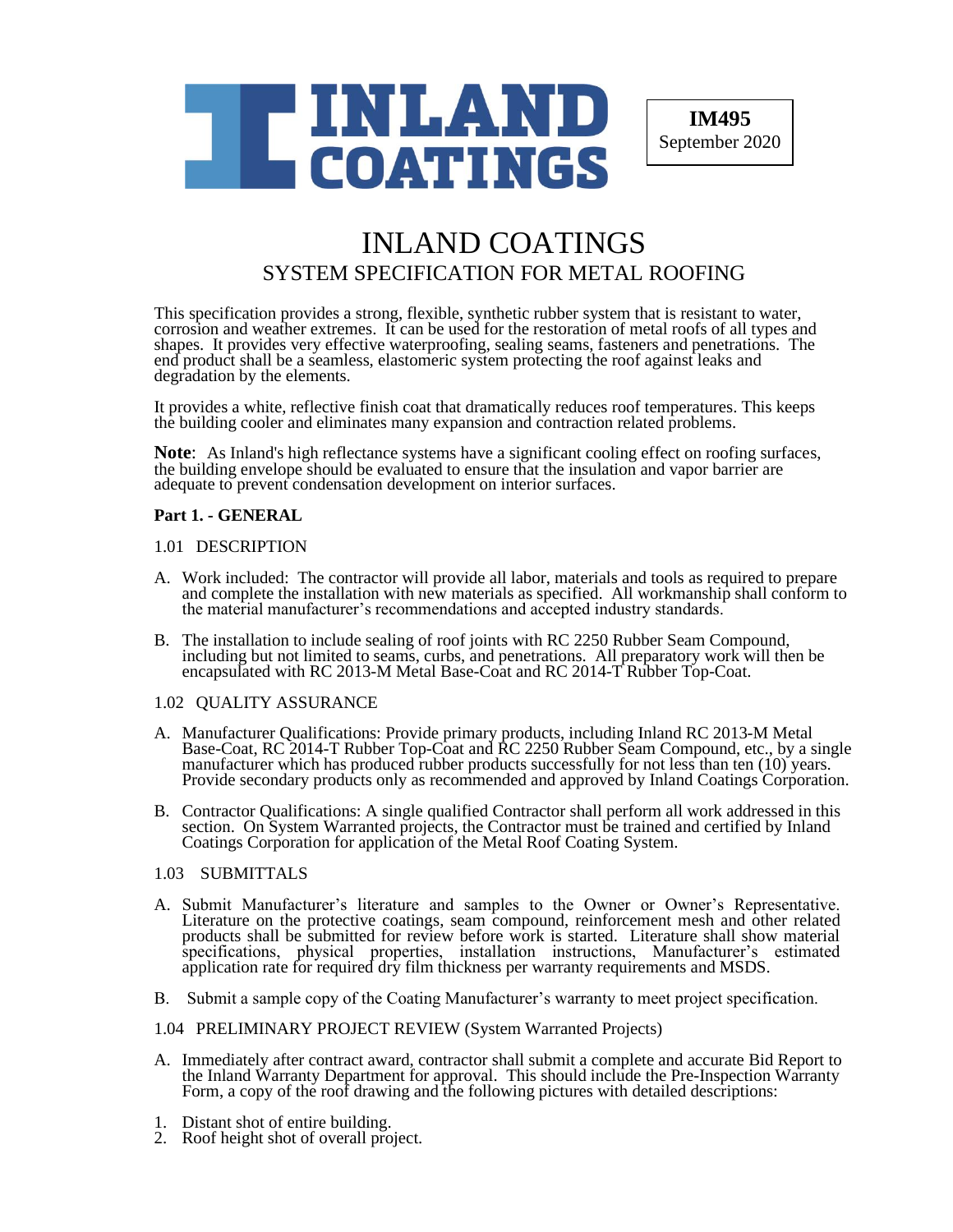

**IM495** September 2020

# INLAND COATINGS SYSTEM SPECIFICATION FOR METAL ROOFING

This specification provides a strong, flexible, synthetic rubber system that is resistant to water, corrosion and weather extremes. It can be used for the restoration of metal roofs of all types and shapes. It provides very effective waterproofing, sealing seams, fasteners and penetrations. The end product shall be a seamless, elastomeric system protecting the roof against leaks and degradation by the elements.

It provides a white, reflective finish coat that dramatically reduces roof temperatures. This keeps the building cooler and eliminates many expansion and contraction related problems.

**Note**: As Inland's high reflectance systems have a significant cooling effect on roofing surfaces, the building envelope should be evaluated to ensure that the insulation and vapor barrier are adequate to prevent condensation development on interior surfaces.

# **Part 1. - GENERAL**

# 1.01 DESCRIPTION

- A. Work included: The contractor will provide all labor, materials and tools as required to prepare and complete the installation with new materials as specified. All workmanship shall conform to the material manufacturer's recommendations and accepted industry standards.
- B. The installation to include sealing of roof joints with RC 2250 Rubber Seam Compound, including but not limited to seams, curbs, and penetrations. All preparatory work will then be encapsulated with RC 2013-M Metal Base-Coat and RC 2014-T Rubber Top-Coat.

# 1.02 QUALITY ASSURANCE

- A. Manufacturer Qualifications: Provide primary products, including Inland RC 2013-M Metal Base-Coat, RC 2014-T Rubber Top-Coat and RC 2250 Rubber Seam Compound, etc., by a single manufacturer which has produced rubber products successfully for not less than ten (10) years. Provide secondary products only as recommended and approved by Inland Coatings Corporation.
- B. Contractor Qualifications: A single qualified Contractor shall perform all work addressed in this section. On System Warranted projects, the Contractor must be trained and certified by Inland Coatings Corporation for application of the Metal Roof Coating System.

# 1.03 SUBMITTALS

- A. Submit Manufacturer's literature and samples to the Owner or Owner's Representative. Literature on the protective coatings, seam compound, reinforcement mesh and other related products shall be submitted for review before work is started. Literature shall show material specifications, physical properties, installation instructions, Manufacturer's estimated application rate for required dry film thickness per warranty requirements and MSDS.
- B. Submit a sample copy of the Coating Manufacturer's warranty to meet project specification.
- 1.04 PRELIMINARY PROJECT REVIEW (System Warranted Projects)
- A. Immediately after contract award, contractor shall submit a complete and accurate Bid Report to the Inland Warranty Department for approval. This should include the Pre-Inspection Warranty Form, a copy of the roof drawing and the following pictures with detailed descriptions:
- 1. Distant shot of entire building.
- 2. Roof height shot of overall project.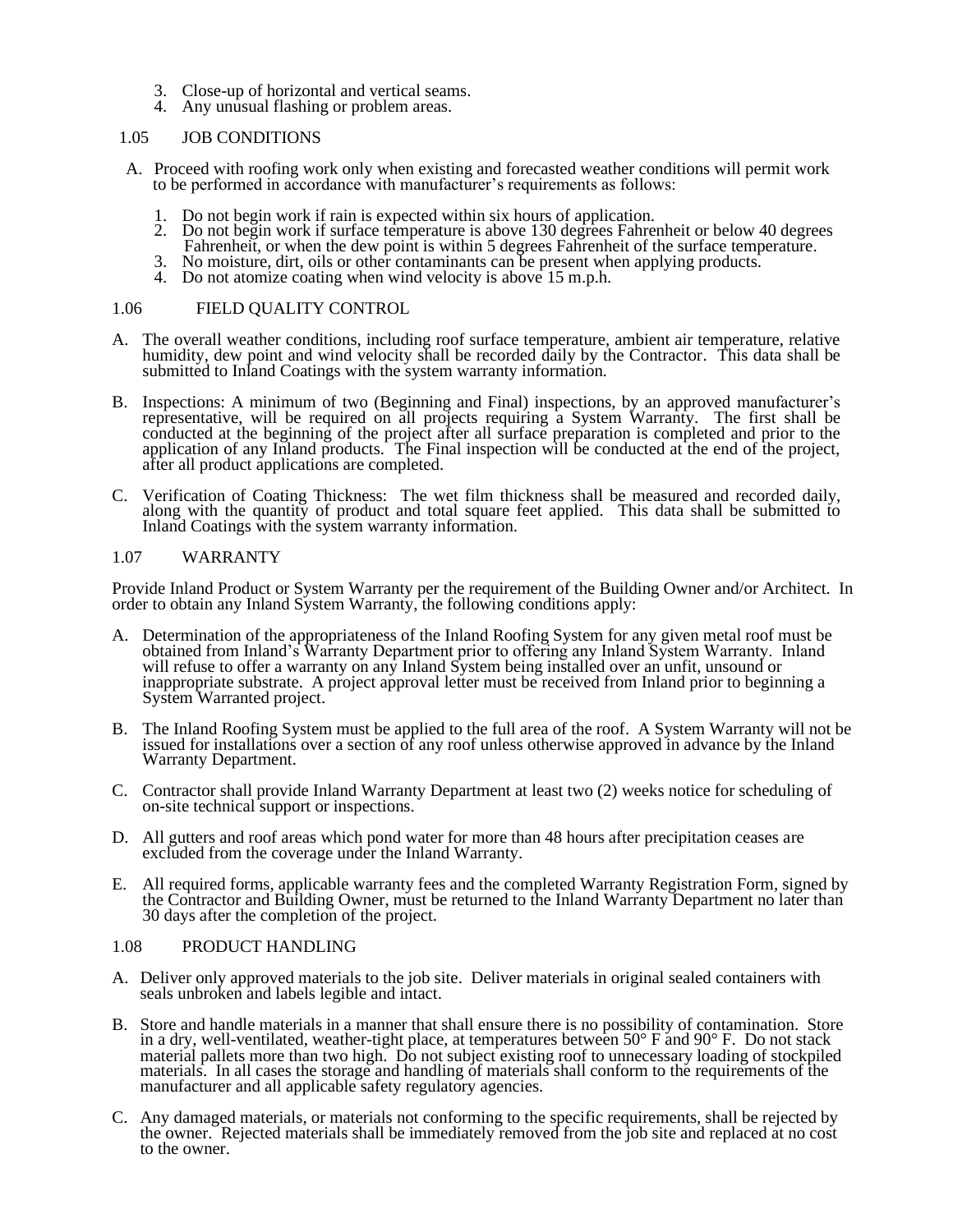- 3. Close-up of horizontal and vertical seams.
- 4. Any unusual flashing or problem areas.

## 1.05 JOB CONDITIONS

- A. Proceed with roofing work only when existing and forecasted weather conditions will permit work to be performed in accordance with manufacturer's requirements as follows:
	- 1. Do not begin work if rain is expected within six hours of application.
	- 2. Do not begin work if surface temperature is above 130 degrees Fahrenheit or below 40 degrees Fahrenheit, or when the dew point is within 5 degrees Fahrenheit of the surface temperature.
	- 3. No moisture, dirt, oils or other contaminants can be present when applying products.
	- 4. Do not atomize coating when wind velocity is above 15 m.p.h.

#### 1.06 FIELD QUALITY CONTROL

- A. The overall weather conditions, including roof surface temperature, ambient air temperature, relative humidity, dew point and wind velocity shall be recorded daily by the Contractor. This data shall be submitted to Inland Coatings with the system warranty information.
- B. Inspections: A minimum of two (Beginning and Final) inspections, by an approved manufacturer's representative, will be required on all projects requiring a System Warranty. The first shall be conducted at the beginning of the project after all surface preparation is completed and prior to the application of any Inland products. The Final inspection will be conducted at the end of the project, after all product applications are completed.
- C. Verification of Coating Thickness: The wet film thickness shall be measured and recorded daily, along with the quantity of product and total square feet applied. This data shall be submitted to Inland Coatings with the system warranty information.

# 1.07 WARRANTY

Provide Inland Product or System Warranty per the requirement of the Building Owner and/or Architect. In order to obtain any Inland System Warranty, the following conditions apply:

- A. Determination of the appropriateness of the Inland Roofing System for any given metal roof must be obtained from Inland's Warranty Department prior to offering any Inland System Warranty. Inland will refuse to offer a warranty on any Inland System being installed over an unfit, unsound or inappropriate substrate. A project approval letter must be received from Inland prior to beginning a System Warranted project.
- B. The Inland Roofing System must be applied to the full area of the roof. A System Warranty will not be issued for installations over a section of any roof unless otherwise approved in advance by the Inland Warranty Department.
- C. Contractor shall provide Inland Warranty Department at least two (2) weeks notice for scheduling of on-site technical support or inspections.
- D. All gutters and roof areas which pond water for more than 48 hours after precipitation ceases are excluded from the coverage under the Inland Warranty.
- E. All required forms, applicable warranty fees and the completed Warranty Registration Form, signed by the Contractor and Building Owner, must be returned to the Inland Warranty Department no later than 30 days after the completion of the project.

#### 1.08 PRODUCT HANDLING

- A. Deliver only approved materials to the job site. Deliver materials in original sealed containers with seals unbroken and labels legible and intact.
- B. Store and handle materials in a manner that shall ensure there is no possibility of contamination. Store in a dry, well-ventilated, weather-tight place, at temperatures between  $50^{\circ}$  F and  $90^{\circ}$  F. Do not stack material pallets more than two high. Do not subject existing roof to unnecessary loading of stockpiled materials. In all cases the storage and handling of materials shall conform to the requirements of the manufacturer and all applicable safety regulatory agencies.
- C. Any damaged materials, or materials not conforming to the specific requirements, shall be rejected by the owner. Rejected materials shall be immediately removed from the job site and replaced at no cost to the owner.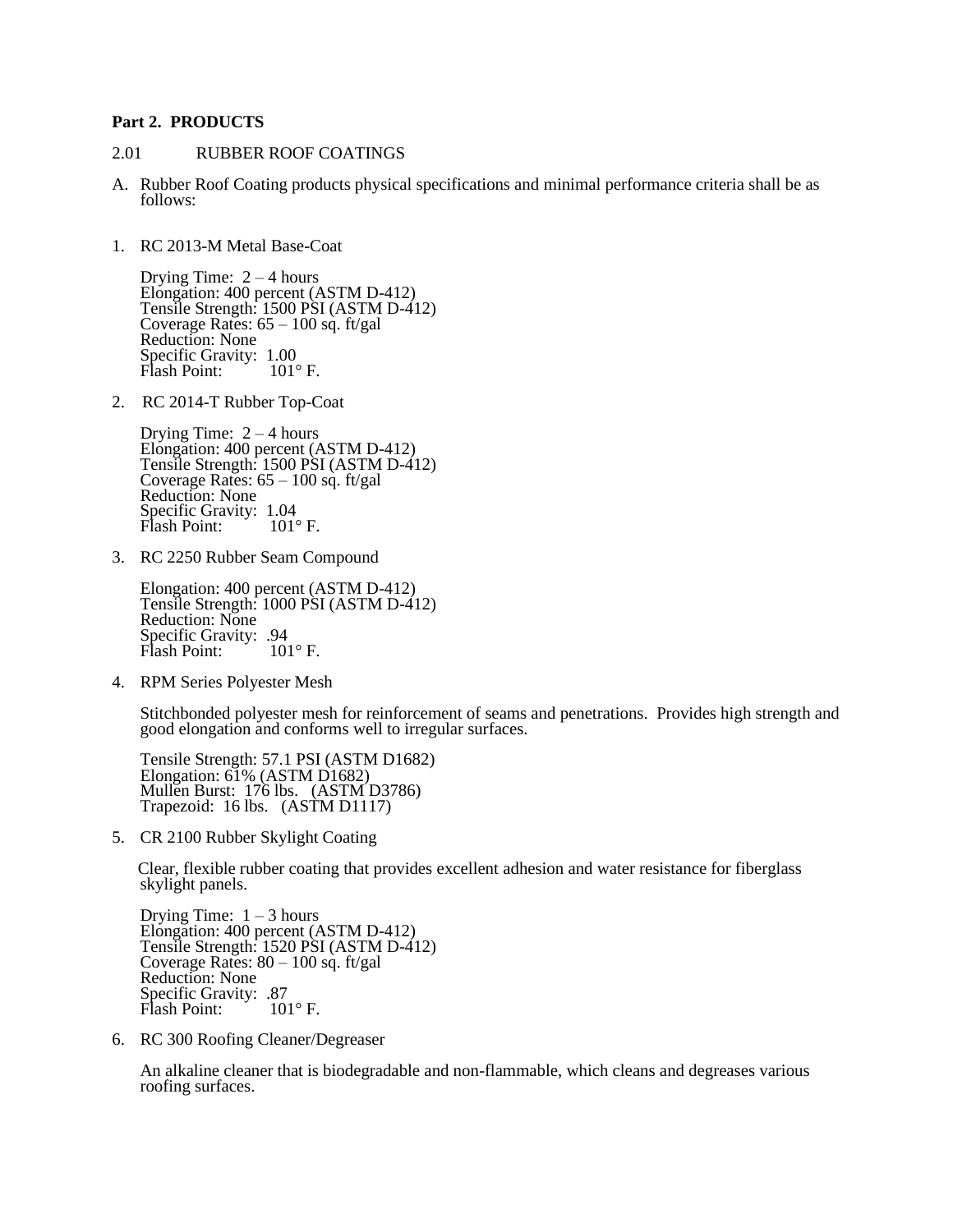# **Part 2. PRODUCTS**

#### 2.01 RUBBER ROOF COATINGS

- A. Rubber Roof Coating products physical specifications and minimal performance criteria shall be as follows:
- 1. RC 2013-M Metal Base-Coat

Drying Time:  $2 - 4$  hours Elongation: 400 percent (ASTM D-412) Tensile Strength: 1500 PSI (ASTM D-412) Coverage Rates:  $65 - 100$  sq. ft/gal Reduction: None Specific Gravity: 1.00<br>Flash Point: 101°F. Flash Point:

2. RC 2014-T Rubber Top-Coat

Drying Time:  $2 - 4$  hours Elongation: 400 percent (ASTM D-412) Tensile Strength: 1500 PSI (ASTM D-412) Coverage Rates:  $65 - 100$  sq. ft/gal Reduction: None Specific Gravity: 1.04<br>Flash Point: 101°F. Flash Point:

3. RC 2250 Rubber Seam Compound

Elongation: 400 percent (ASTM D-412) Tensile Strength: 1000 PSI (ASTM D-412) Reduction: None Specific Gravity: .94<br>Flash Point: 101°F. Flash Point:

4. RPM Series Polyester Mesh

Stitchbonded polyester mesh for reinforcement of seams and penetrations. Provides high strength and good elongation and conforms well to irregular surfaces.

Tensile Strength: 57.1 PSI (ASTM D1682) Elongation: 61% (ASTM D1682) Mullen Burst: 176 lbs. (ASTM D3786) Trapezoid: 16 lbs. (ASTM D1117)

5. CR 2100 Rubber Skylight Coating

 Clear, flexible rubber coating that provides excellent adhesion and water resistance for fiberglass skylight panels.

Drying Time:  $1 - 3$  hours Elongation: 400 percent (ASTM D-412) Tensile Strength: 1520 PSI (ASTM D-412) Coverage Rates:  $80 - 100$  sq. ft/gal Reduction: None Specific Gravity: .87<br>Flash Point: 101°F. Flash Point:

6. RC 300 Roofing Cleaner/Degreaser

An alkaline cleaner that is biodegradable and non-flammable, which cleans and degreases various roofing surfaces.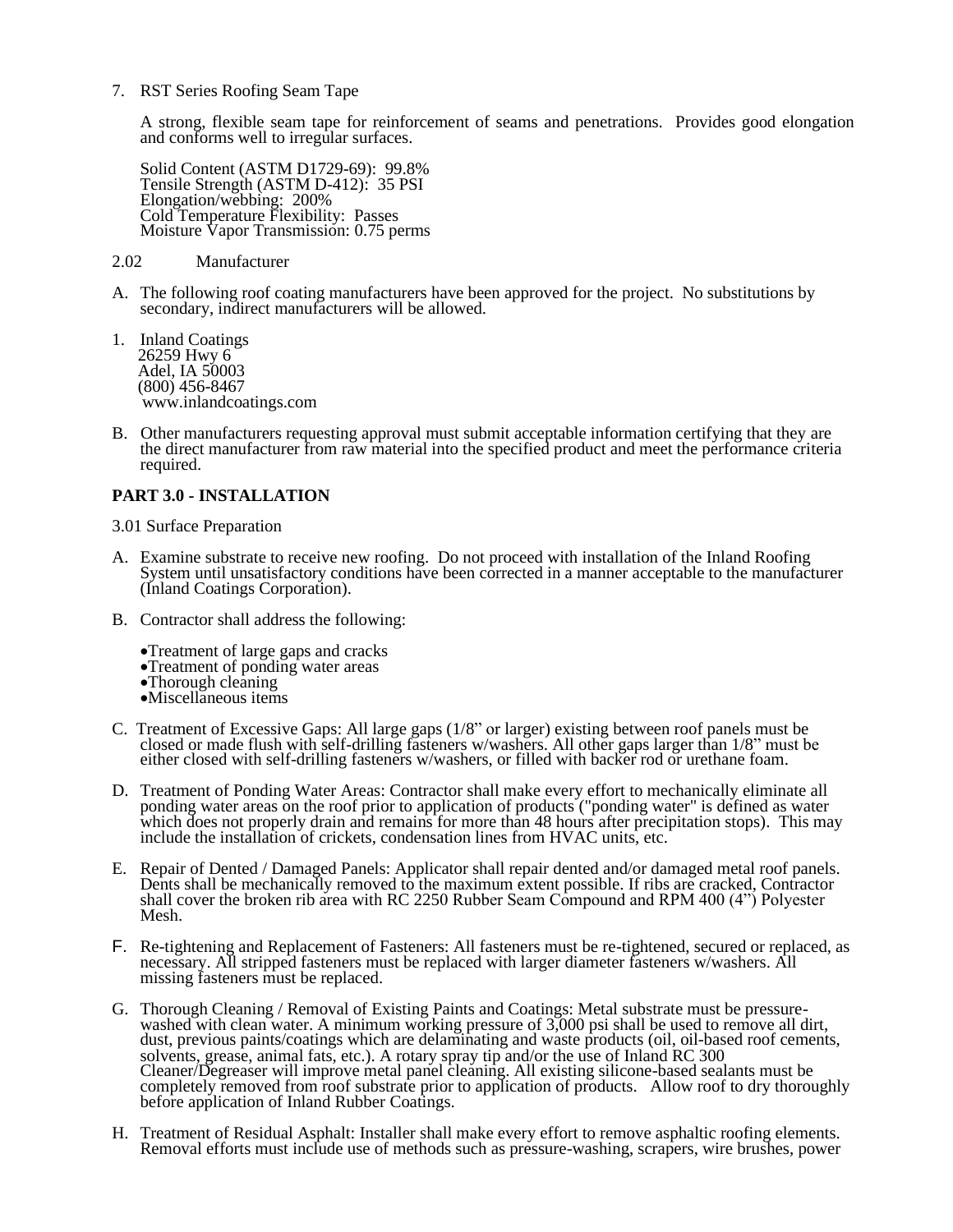7. RST Series Roofing Seam Tape

A strong, flexible seam tape for reinforcement of seams and penetrations. Provides good elongation and conforms well to irregular surfaces.

Solid Content (ASTM D1729-69): 99.8% Tensile Strength (ASTM D-412): 35 PSI Elongation/webbing: 200% Cold Temperature Flexibility: Passes Moisture Vapor Transmission: 0.75 perms

#### 2.02 Manufacturer

- A. The following roof coating manufacturers have been approved for the project. No substitutions by secondary, indirect manufacturers will be allowed.
- 1. Inland Coatings 26259 Hwy 6 Adel, IA 50003 (800) 456-8467 www.inlandcoatings.com
- B. Other manufacturers requesting approval must submit acceptable information certifying that they are the direct manufacturer from raw material into the specified product and meet the performance criteria required.

# **PART 3.0 - INSTALLATION**

3.01 Surface Preparation

- A. Examine substrate to receive new roofing. Do not proceed with installation of the Inland Roofing System until unsatisfactory conditions have been corrected in a manner acceptable to the manufacturer (Inland Coatings Corporation).
- B. Contractor shall address the following:
	- •Treatment of large gaps and cracks
	- •Treatment of ponding water areas
	- •Thorough cleaning
	- •Miscellaneous items
- C. Treatment of Excessive Gaps: All large gaps (1/8" or larger) existing between roof panels must be closed or made flush with self-drilling fasteners w/washers. All other gaps larger than 1/8" must be either closed with self-drilling fasteners w/washers, or filled with backer rod or urethane foam.
- D. Treatment of Ponding Water Areas: Contractor shall make every effort to mechanically eliminate all ponding water areas on the roof prior to application of products ("ponding water" is defined as water which does not properly drain and remains for more than 48 hours after precipitation stops). This may include the installation of crickets, condensation lines from HVAC units, etc.
- E. Repair of Dented / Damaged Panels: Applicator shall repair dented and/or damaged metal roof panels. Dents shall be mechanically removed to the maximum extent possible. If ribs are cracked, Contractor shall cover the broken rib area with RC 2250 Rubber Seam Compound and RPM 400 (4") Polyester Mesh.
- F. Re-tightening and Replacement of Fasteners: All fasteners must be re-tightened, secured or replaced, as necessary. All stripped fasteners must be replaced with larger diameter fasteners w/washers. All missing fasteners must be replaced.
- G. Thorough Cleaning / Removal of Existing Paints and Coatings: Metal substrate must be pressurewashed with clean water. A minimum working pressure of 3,000 psi shall be used to remove all dirt, dust, previous paints/coatings which are delaminating and waste products (oil, oil-based roof cements, solvents, grease, animal fats, etc.). A rotary spray tip and/or the use of Inland RC 300 Cleaner/Degreaser will improve metal panel cleaning. All existing silicone-based sealants must be completely removed from roof substrate prior to application of products. Allow roof to dry thoroughly before application of Inland Rubber Coatings.
- H. Treatment of Residual Asphalt: Installer shall make every effort to remove asphaltic roofing elements. Removal efforts must include use of methods such as pressure-washing, scrapers, wire brushes, power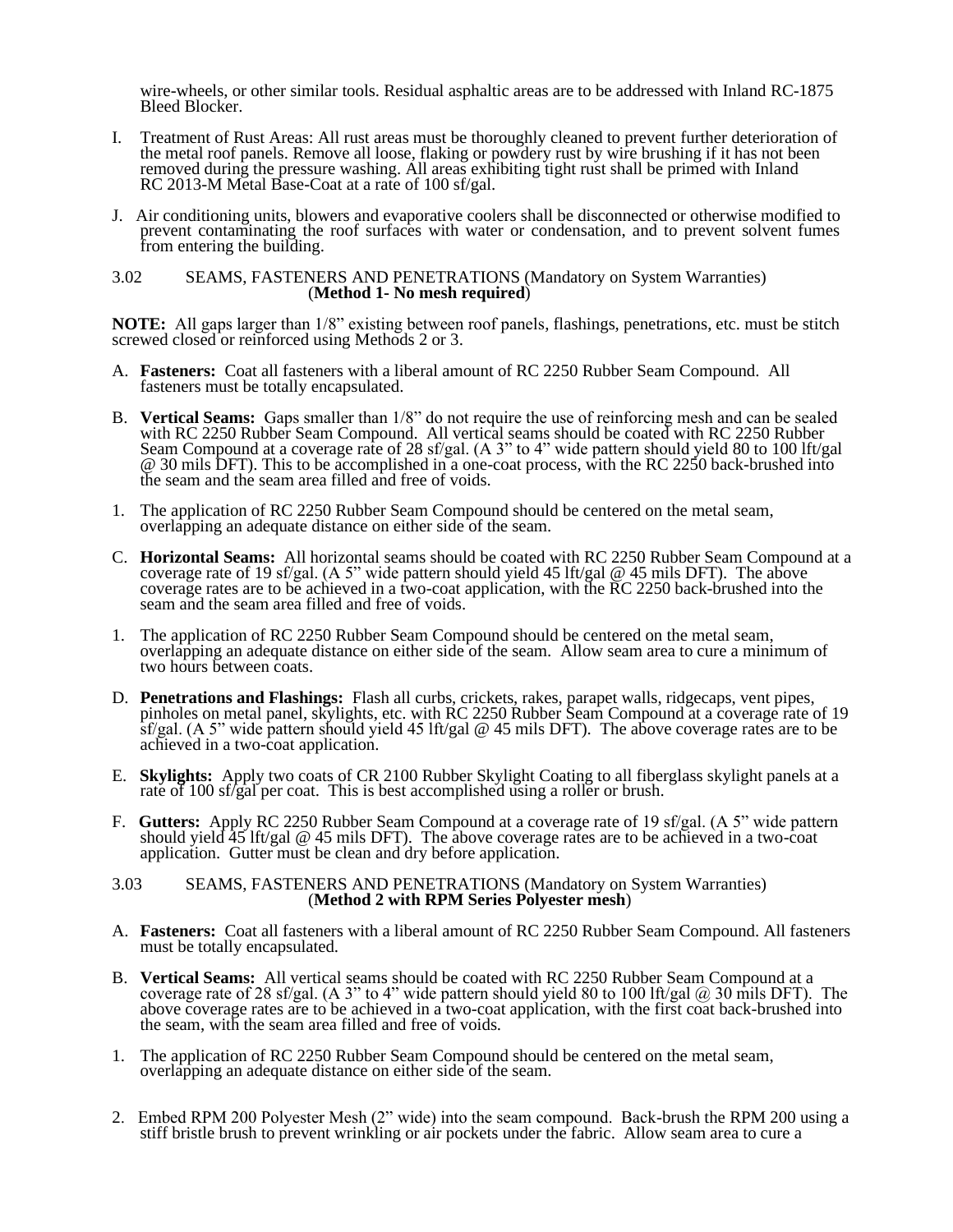wire-wheels, or other similar tools. Residual asphaltic areas are to be addressed with Inland RC-1875 Bleed Blocker.

- I. Treatment of Rust Areas: All rust areas must be thoroughly cleaned to prevent further deterioration of the metal roof panels. Remove all loose, flaking or powdery rust by wire brushing if it has not been removed during the pressure washing. All areas exhibiting tight rust shall be primed with Inland RC 2013-M Metal Base-Coat at a rate of 100 sf/gal.
- J. Air conditioning units, blowers and evaporative coolers shall be disconnected or otherwise modified to prevent contaminating the roof surfaces with water or condensation, and to prevent solvent fumes from entering the building.

#### 3.02 SEAMS, FASTENERS AND PENETRATIONS (Mandatory on System Warranties) (**Method 1- No mesh required**)

**NOTE:** All gaps larger than 1/8" existing between roof panels, flashings, penetrations, etc. must be stitch screwed closed or reinforced using Methods 2 or 3.

- A. **Fasteners:** Coat all fasteners with a liberal amount of RC 2250 Rubber Seam Compound. All fasteners must be totally encapsulated.
- B. **Vertical Seams:** Gaps smaller than 1/8" do not require the use of reinforcing mesh and can be sealed with RC 2250 Rubber Seam Compound. All vertical seams should be coated with RC 2250 Rubber Seam Compound at a coverage rate of 28 sf/gal. (A 3" to 4" wide pattern should yield 80 to 100 lft/gal @ 30 mils DFT). This to be accomplished in a one-coat process, with the RC 2250 back-brushed into the seam and the seam area filled and free of voids.
- 1. The application of RC 2250 Rubber Seam Compound should be centered on the metal seam, overlapping an adequate distance on either side of the seam.
- C. **Horizontal Seams:** All horizontal seams should be coated with RC 2250 Rubber Seam Compound at a coverage rate of 19 sf/gal. (A 5" wide pattern should yield 45 lft/gal @ 45 mils DFT). The above coverage rates are to be achieved in a two-coat application, with the RC 2250 back-brushed into the seam and the seam area filled and free of voids.
- 1. The application of RC 2250 Rubber Seam Compound should be centered on the metal seam, overlapping an adequate distance on either side of the seam. Allow seam area to cure a minimum of two hours between coats.
- D. **Penetrations and Flashings:** Flash all curbs, crickets, rakes, parapet walls, ridgecaps, vent pipes, pinholes on metal panel, skylights, etc. with RC 2250 Rubber Seam Compound at a coverage rate of 19 sf/gal. (A 5" wide pattern should yield 45 lft/gal @ 45 mils DFT). The above coverage rates are to be achieved in a two-coat application.
- E. **Skylights:** Apply two coats of CR 2100 Rubber Skylight Coating to all fiberglass skylight panels at a rate of 100 sf/gal per coat. This is best accomplished using a roller or brush.
- F. **Gutters:** Apply RC 2250 Rubber Seam Compound at a coverage rate of 19 sf/gal. (A 5" wide pattern should yield 45 lft/gal @ 45 mils DFT). The above coverage rates are to be achieved in a two-coat application. Gutter must be clean and dry before application.

#### 3.03 SEAMS, FASTENERS AND PENETRATIONS (Mandatory on System Warranties) (**Method 2 with RPM Series Polyester mesh**)

- A. **Fasteners:** Coat all fasteners with a liberal amount of RC 2250 Rubber Seam Compound. All fasteners must be totally encapsulated.
- B. **Vertical Seams:** All vertical seams should be coated with RC 2250 Rubber Seam Compound at a coverage rate of 28 sf/gal. (A 3" to 4" wide pattern should yield 80 to 100 lft/gal  $@$  30 mils DFT). The above coverage rates are to be achieved in a two-coat application, with the first coat back-brushed into the seam, with the seam area filled and free of voids.
- 1. The application of RC 2250 Rubber Seam Compound should be centered on the metal seam, overlapping an adequate distance on either side of the seam.
- 2. Embed RPM 200 Polyester Mesh (2" wide) into the seam compound. Back-brush the RPM 200 using a stiff bristle brush to prevent wrinkling or air pockets under the fabric. Allow seam area to cure a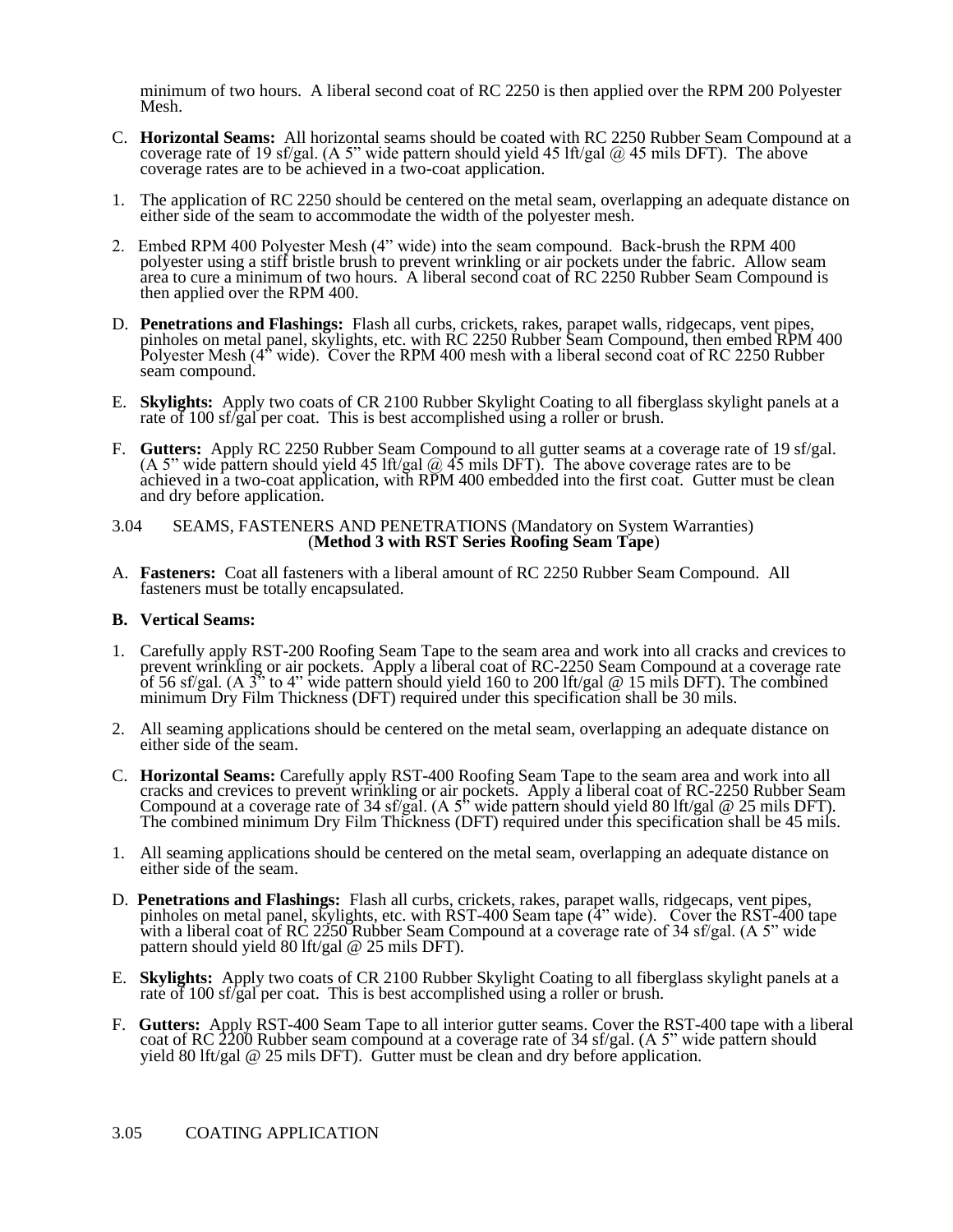minimum of two hours. A liberal second coat of RC 2250 is then applied over the RPM 200 Polyester Mesh.

- C. **Horizontal Seams:** All horizontal seams should be coated with RC 2250 Rubber Seam Compound at a coverage rate of 19 sf/gal. (A 5" wide pattern should yield 45 lft/gal  $@$  45 mils DFT). The above coverage rates are to be achieved in a two-coat application.
- 1. The application of RC 2250 should be centered on the metal seam, overlapping an adequate distance on either side of the seam to accommodate the width of the polyester mesh.
- 2. Embed RPM 400 Polyester Mesh (4" wide) into the seam compound. Back-brush the RPM 400 polyester using a stiff bristle brush to prevent wrinkling or air pockets under the fabric. Allow seam area to cure a minimum of two hours. A liberal second coat of RC 2250 Rubber Seam Compound is then applied over the RPM 400.
- D. **Penetrations and Flashings:** Flash all curbs, crickets, rakes, parapet walls, ridgecaps, vent pipes, pinholes on metal panel, skylights, etc. with RC 2250 Rubber Seam Compound, then embed RPM 400 Polyester Mesh (4<sup>\*</sup> wide). Cover the RPM 400 mesh with a liberal second coat of RC 2250 Rubber seam compound.
- E. **Skylights:** Apply two coats of CR 2100 Rubber Skylight Coating to all fiberglass skylight panels at a rate of 100 sf/gal per coat. This is best accomplished using a roller or brush.
- F. **Gutters:** Apply RC 2250 Rubber Seam Compound to all gutter seams at a coverage rate of 19 sf/gal. (A 5" wide pattern should yield 45 lft/gal  $\omega$  45 mils DFT). The above coverage rates are to be achieved in a two-coat application, with RPM 400 embedded into the first coat. Gutter must be clean and dry before application.

## 3.04 SEAMS, FASTENERS AND PENETRATIONS (Mandatory on System Warranties) (**Method 3 with RST Series Roofing Seam Tape**)

A. **Fasteners:** Coat all fasteners with a liberal amount of RC 2250 Rubber Seam Compound. All fasteners must be totally encapsulated.

# **B. Vertical Seams:**

- 1. Carefully apply RST-200 Roofing Seam Tape to the seam area and work into all cracks and crevices to prevent wrinkling or air pockets. Apply a liberal coat of RC-2250 Seam Compound at a coverage rate of 56 sf/gal. (A  $3$ <sup>\*</sup> to 4<sup>\*</sup> wide pattern should yield 160 to 200 lft/gal @ 15 mils DFT). The combined minimum Dry Film Thickness (DFT) required under this specification shall be 30 mils.
- 2. All seaming applications should be centered on the metal seam, overlapping an adequate distance on either side of the seam.
- C. **Horizontal Seams:** Carefully apply RST-400 Roofing Seam Tape to the seam area and work into all cracks and crevices to prevent wrinkling or air pockets. Apply a liberal coat of RC-2250 Rubber Seam Compound at a coverage rate of 34 sf/gal. (A 5<sup>\*</sup> wide pattern should yield 80 lft/gal @ 25 mils DFT). The combined minimum Dry Film Thickness (DFT) required under this specification shall be 45 mils.
- 1. All seaming applications should be centered on the metal seam, overlapping an adequate distance on either side of the seam.
- D. **Penetrations and Flashings:** Flash all curbs, crickets, rakes, parapet walls, ridgecaps, vent pipes, pinholes on metal panel, skylights, etc. with RST-400 Seam tape (4" wide). Cover the RST-400 tape with a liberal coat of RC 2250 Rubber Seam Compound at a coverage rate of 34 sf/gal. (A 5" wide pattern should yield 80 lft/gal @ 25 mils DFT).
- E. **Skylights:** Apply two coats of CR 2100 Rubber Skylight Coating to all fiberglass skylight panels at a rate of 100 sf/gal per coat. This is best accomplished using a roller or brush.
- F. **Gutters:** Apply RST-400 Seam Tape to all interior gutter seams. Cover the RST-400 tape with a liberal coat of RC 2200 Rubber seam compound at a coverage rate of 34 sf/gal. (A 5" wide pattern should yield 80 lft/gal @ 25 mils DFT). Gutter must be clean and dry before application.